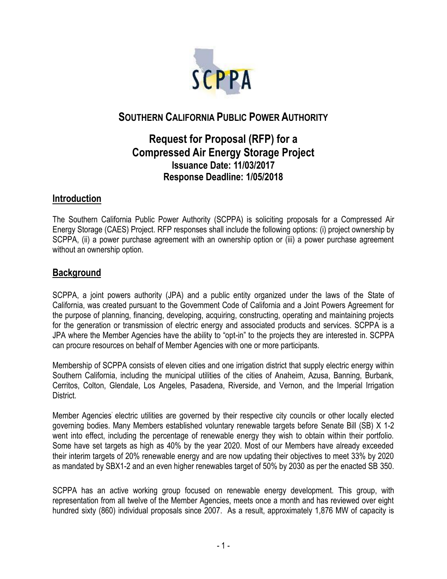

# **SOUTHERN CALIFORNIA PUBLIC POWER AUTHORITY**

# **Request for Proposal (RFP) for a Compressed Air Energy Storage Project Issuance Date: 11/03/2017 Response Deadline: 1/05/2018**

### **Introduction**

The Southern California Public Power Authority (SCPPA) is soliciting proposals for a Compressed Air Energy Storage (CAES) Project. RFP responses shall include the following options: (i) project ownership by SCPPA, (ii) a power purchase agreement with an ownership option or (iii) a power purchase agreement without an ownership option.

### **Background**

SCPPA, a joint powers authority (JPA) and a public entity organized under the laws of the State of California, was created pursuant to the Government Code of California and a Joint Powers Agreement for the purpose of planning, financing, developing, acquiring, constructing, operating and maintaining projects for the generation or transmission of electric energy and associated products and services. SCPPA is a JPA where the Member Agencies have the ability to "opt-in" to the projects they are interested in. SCPPA can procure resources on behalf of Member Agencies with one or more participants.

Membership of SCPPA consists of eleven cities and one irrigation district that supply electric energy within Southern California, including the municipal utilities of the cities of Anaheim, Azusa, Banning, Burbank, Cerritos, Colton, Glendale, Los Angeles, Pasadena, Riverside, and Vernon, and the Imperial Irrigation District.

Member Agencies' electric utilities are governed by their respective city councils or other locally elected governing bodies. Many Members established voluntary renewable targets before Senate Bill (SB) X 1-2 went into effect, including the percentage of renewable energy they wish to obtain within their portfolio. Some have set targets as high as 40% by the year 2020. Most of our Members have already exceeded their interim targets of 20% renewable energy and are now updating their objectives to meet 33% by 2020 as mandated by SBX1-2 and an even higher renewables target of 50% by 2030 as per the enacted SB 350.

SCPPA has an active working group focused on renewable energy development. This group, with representation from all twelve of the Member Agencies, meets once a month and has reviewed over eight hundred sixty (860) individual proposals since 2007. As a result, approximately 1,876 MW of capacity is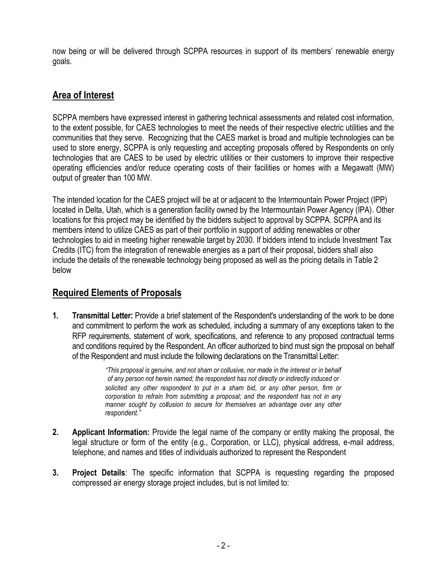now being or will be delivered through SCPPA resources in support of its members' renewable energy goals.

## **Area of Interest**

SCPPA members have expressed interest in gathering technical assessments and related cost information, to the extent possible, for CAES technologies to meet the needs of their respective electric utilities and the communities that they serve. Recognizing that the CAES market is broad and multiple technologies can be used to store energy, SCPPA is only requesting and accepting proposals offered by Respondents on only technologies that are CAES to be used by electric utilities or their customers to improve their respective operating efficiencies and/or reduce operating costs of their facilities or homes with a Megawatt (MW) output of greater than 100 MW.

The intended location for the CAES project will be at or adjacent to the Intermountain Power Project (IPP) located in Delta, Utah, which is a generation facility owned by the Intermountain Power Agency (IPA). Other locations for this project may be identified by the bidders subject to approval by SCPPA. SCPPA and its members intend to utilize CAES as part of their portfolio in support of adding renewables or other technologies to aid in meeting higher renewable target by 2030. If bidders intend to include Investment Tax Credits (ITC) from the integration of renewable energies as a part of their proposal, bidders shall also include the details of the renewable technology being proposed as well as the pricing details in Table 2 below

## **Required Elements of Proposals**

**1. Transmittal Letter:** Provide a brief statement of the Respondent's understanding of the work to be done and commitment to perform the work as scheduled, including a summary of any exceptions taken to the RFP requirements, statement of work, specifications, and reference to any proposed contractual terms and conditions required by the Respondent. An officer authorized to bind must sign the proposal on behalf of the Respondent and must include the following declarations on the Transmittal Letter:

> *"This proposal is genuine, and not sham or collusive, nor made in the interest or in behalf of any person not herein named; the respondent has not directly or indirectly induced or solicited any other respondent to put in a sham bid, or any other person, firm or corporation to refrain from submitting a proposal; and the respondent has not in any manner sought by collusion to secure for themselves an advantage over any other respondent."*

- **2. Applicant Information:** Provide the legal name of the company or entity making the proposal, the legal structure or form of the entity (e.g., Corporation, or LLC), physical address, e-mail address, telephone, and names and titles of individuals authorized to represent the Respondent
- **3. Project Details**: The specific information that SCPPA is requesting regarding the proposed compressed air energy storage project includes, but is not limited to: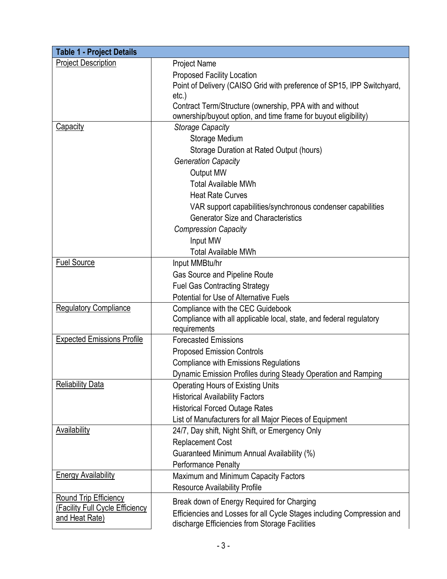| <b>Table 1 - Project Details</b>  |                                                                                                            |  |  |  |  |  |
|-----------------------------------|------------------------------------------------------------------------------------------------------------|--|--|--|--|--|
| <b>Project Description</b>        | <b>Project Name</b>                                                                                        |  |  |  |  |  |
|                                   | <b>Proposed Facility Location</b>                                                                          |  |  |  |  |  |
|                                   | Point of Delivery (CAISO Grid with preference of SP15, IPP Switchyard,                                     |  |  |  |  |  |
|                                   | etc.                                                                                                       |  |  |  |  |  |
|                                   | Contract Term/Structure (ownership, PPA with and without                                                   |  |  |  |  |  |
|                                   | ownership/buyout option, and time frame for buyout eligibility)                                            |  |  |  |  |  |
| Capacity                          | <b>Storage Capacity</b>                                                                                    |  |  |  |  |  |
|                                   | Storage Medium                                                                                             |  |  |  |  |  |
|                                   | Storage Duration at Rated Output (hours)                                                                   |  |  |  |  |  |
|                                   | <b>Generation Capacity</b>                                                                                 |  |  |  |  |  |
|                                   | <b>Output MW</b>                                                                                           |  |  |  |  |  |
|                                   | <b>Total Available MWh</b>                                                                                 |  |  |  |  |  |
|                                   | <b>Heat Rate Curves</b>                                                                                    |  |  |  |  |  |
|                                   | VAR support capabilities/synchronous condenser capabilities                                                |  |  |  |  |  |
|                                   | <b>Generator Size and Characteristics</b>                                                                  |  |  |  |  |  |
|                                   | <b>Compression Capacity</b>                                                                                |  |  |  |  |  |
|                                   | Input MW                                                                                                   |  |  |  |  |  |
|                                   | <b>Total Available MWh</b>                                                                                 |  |  |  |  |  |
| <b>Fuel Source</b>                | Input MMBtu/hr                                                                                             |  |  |  |  |  |
|                                   | Gas Source and Pipeline Route                                                                              |  |  |  |  |  |
|                                   | <b>Fuel Gas Contracting Strategy</b>                                                                       |  |  |  |  |  |
|                                   | Potential for Use of Alternative Fuels                                                                     |  |  |  |  |  |
| <b>Regulatory Compliance</b>      | Compliance with the CEC Guidebook                                                                          |  |  |  |  |  |
|                                   | Compliance with all applicable local, state, and federal regulatory                                        |  |  |  |  |  |
| <b>Expected Emissions Profile</b> | requirements<br><b>Forecasted Emissions</b>                                                                |  |  |  |  |  |
|                                   |                                                                                                            |  |  |  |  |  |
|                                   | <b>Proposed Emission Controls</b>                                                                          |  |  |  |  |  |
|                                   | <b>Compliance with Emissions Regulations</b>                                                               |  |  |  |  |  |
| <b>Reliability Data</b>           | Dynamic Emission Profiles during Steady Operation and Ramping                                              |  |  |  |  |  |
|                                   | <b>Operating Hours of Existing Units</b><br><b>Historical Availability Factors</b>                         |  |  |  |  |  |
|                                   |                                                                                                            |  |  |  |  |  |
|                                   | <b>Historical Forced Outage Rates</b>                                                                      |  |  |  |  |  |
| <b>Availability</b>               | List of Manufacturers for all Major Pieces of Equipment<br>24/7, Day shift, Night Shift, or Emergency Only |  |  |  |  |  |
|                                   |                                                                                                            |  |  |  |  |  |
|                                   | <b>Replacement Cost</b>                                                                                    |  |  |  |  |  |
|                                   | Guaranteed Minimum Annual Availability (%)                                                                 |  |  |  |  |  |
| <b>Energy Availability</b>        | <b>Performance Penalty</b>                                                                                 |  |  |  |  |  |
|                                   | Maximum and Minimum Capacity Factors                                                                       |  |  |  |  |  |
| <b>Round Trip Efficiency</b>      | <b>Resource Availability Profile</b>                                                                       |  |  |  |  |  |
| (Facility Full Cycle Efficiency   | Break down of Energy Required for Charging                                                                 |  |  |  |  |  |
| and Heat Rate)                    | Efficiencies and Losses for all Cycle Stages including Compression and                                     |  |  |  |  |  |
|                                   | discharge Efficiencies from Storage Facilities                                                             |  |  |  |  |  |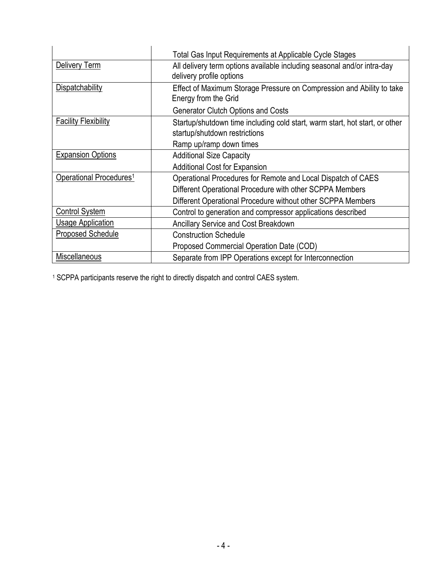|                                     | Total Gas Input Requirements at Applicable Cycle Stages                                                      |  |  |
|-------------------------------------|--------------------------------------------------------------------------------------------------------------|--|--|
| Delivery Term                       | All delivery term options available including seasonal and/or intra-day<br>delivery profile options          |  |  |
| Dispatchability                     | Effect of Maximum Storage Pressure on Compression and Ability to take<br>Energy from the Grid                |  |  |
|                                     | <b>Generator Clutch Options and Costs</b>                                                                    |  |  |
| <b>Facility Flexibility</b>         | Startup/shutdown time including cold start, warm start, hot start, or other<br>startup/shutdown restrictions |  |  |
|                                     | Ramp up/ramp down times                                                                                      |  |  |
| <b>Expansion Options</b>            | <b>Additional Size Capacity</b>                                                                              |  |  |
|                                     | <b>Additional Cost for Expansion</b>                                                                         |  |  |
| Operational Procedures <sup>1</sup> | Operational Procedures for Remote and Local Dispatch of CAES                                                 |  |  |
|                                     | Different Operational Procedure with other SCPPA Members                                                     |  |  |
|                                     | Different Operational Procedure without other SCPPA Members                                                  |  |  |
| <b>Control System</b>               | Control to generation and compressor applications described                                                  |  |  |
| <b>Usage Application</b>            | Ancillary Service and Cost Breakdown                                                                         |  |  |
| <b>Proposed Schedule</b>            | <b>Construction Schedule</b>                                                                                 |  |  |
|                                     | Proposed Commercial Operation Date (COD)                                                                     |  |  |
| <b>Miscellaneous</b>                | Separate from IPP Operations except for Interconnection                                                      |  |  |

<sup>1</sup> SCPPA participants reserve the right to directly dispatch and control CAES system.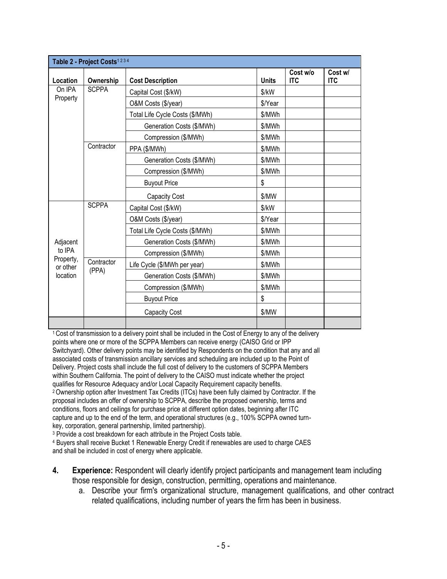| Table 2 - Project Costs <sup>1234</sup>                 |                     |                                 |              |                        |                       |  |  |
|---------------------------------------------------------|---------------------|---------------------------------|--------------|------------------------|-----------------------|--|--|
| Location                                                | Ownership           | <b>Cost Description</b>         | <b>Units</b> | Cost w/o<br><b>ITC</b> | Cost w/<br><b>ITC</b> |  |  |
| On IPA<br>Property                                      | <b>SCPPA</b>        | Capital Cost (\$/kW)            | \$/kW        |                        |                       |  |  |
|                                                         |                     | O&M Costs (\$/year)             | \$/Year      |                        |                       |  |  |
|                                                         |                     | Total Life Cycle Costs (\$/MWh) | \$/MWh       |                        |                       |  |  |
|                                                         |                     | Generation Costs (\$/MWh)       | \$/MWh       |                        |                       |  |  |
|                                                         |                     | Compression (\$/MWh)            | \$/MWh       |                        |                       |  |  |
|                                                         | Contractor          | PPA (\$/MWh)                    | \$/MWh       |                        |                       |  |  |
|                                                         |                     | Generation Costs (\$/MWh)       | \$/MWh       |                        |                       |  |  |
|                                                         |                     | Compression (\$/MWh)            | \$/MWh       |                        |                       |  |  |
|                                                         |                     | <b>Buyout Price</b>             | \$           |                        |                       |  |  |
|                                                         |                     | Capacity Cost                   | \$/MW        |                        |                       |  |  |
| Adjacent<br>to IPA<br>Property,<br>or other<br>location | <b>SCPPA</b>        | Capital Cost (\$/kW)            | \$/kW        |                        |                       |  |  |
|                                                         |                     | O&M Costs (\$/year)             | \$/Year      |                        |                       |  |  |
|                                                         |                     | Total Life Cycle Costs (\$/MWh) | \$/MWh       |                        |                       |  |  |
|                                                         |                     | Generation Costs (\$/MWh)       | \$/MWh       |                        |                       |  |  |
|                                                         |                     | Compression (\$/MWh)            | \$/MWh       |                        |                       |  |  |
|                                                         | Contractor<br>(PPA) | Life Cycle (\$/MWh per year)    | \$/MWh       |                        |                       |  |  |
|                                                         |                     | Generation Costs (\$/MWh)       | \$/MWh       |                        |                       |  |  |
|                                                         |                     | Compression (\$/MWh)            | \$/MWh       |                        |                       |  |  |
|                                                         |                     | <b>Buyout Price</b>             | \$           |                        |                       |  |  |
|                                                         |                     | <b>Capacity Cost</b>            | \$/MW        |                        |                       |  |  |
|                                                         |                     |                                 |              |                        |                       |  |  |

<sup>1</sup> Cost of transmission to a delivery point shall be included in the Cost of Energy to any of the delivery points where one or more of the SCPPA Members can receive energy (CAISO Grid or IPP Switchyard). Other delivery points may be identified by Respondents on the condition that any and all associated costs of transmission ancillary services and scheduling are included up to the Point of Delivery. Project costs shall include the full cost of delivery to the customers of SCPPA Members within Southern California. The point of delivery to the CAISO must indicate whether the project qualifies for Resource Adequacy and/or Local Capacity Requirement capacity benefits. <sup>2</sup>Ownership option after Investment Tax Credits (ITCs) have been fully claimed by Contractor. If the proposal includes an offer of ownership to SCPPA, describe the proposed ownership, terms and conditions, floors and ceilings for purchase price at different option dates, beginning after ITC capture and up to the end of the term, and operational structures (e.g., 100% SCPPA owned turnkey, corporation, general partnership, limited partnership).

<sup>3</sup> Provide a cost breakdown for each attribute in the Project Costs table.

<sup>4</sup> Buyers shall receive Bucket 1 Renewable Energy Credit if renewables are used to charge CAES and shall be included in cost of energy where applicable.

- **4. Experience:** Respondent will clearly identify project participants and management team including those responsible for design, construction, permitting, operations and maintenance.
	- a. Describe your firm's organizational structure, management qualifications, and other contract related qualifications, including number of years the firm has been in business.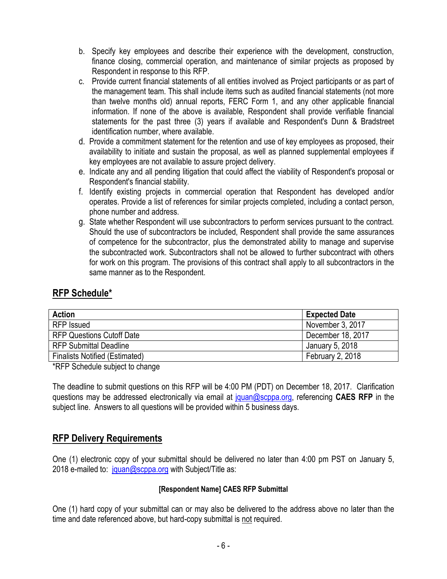- b. Specify key employees and describe their experience with the development, construction, finance closing, commercial operation, and maintenance of similar projects as proposed by Respondent in response to this RFP.
- c. Provide current financial statements of all entities involved as Project participants or as part of the management team. This shall include items such as audited financial statements (not more than twelve months old) annual reports, FERC Form 1, and any other applicable financial information. If none of the above is available, Respondent shall provide verifiable financial statements for the past three (3) years if available and Respondent's Dunn & Bradstreet identification number, where available.
- d. Provide a commitment statement for the retention and use of key employees as proposed, their availability to initiate and sustain the proposal, as well as planned supplemental employees if key employees are not available to assure project delivery.
- e. Indicate any and all pending litigation that could affect the viability of Respondent's proposal or Respondent's financial stability.
- f. Identify existing projects in commercial operation that Respondent has developed and/or operates. Provide a list of references for similar projects completed, including a contact person, phone number and address.
- g. State whether Respondent will use subcontractors to perform services pursuant to the contract. Should the use of subcontractors be included, Respondent shall provide the same assurances of competence for the subcontractor, plus the demonstrated ability to manage and supervise the subcontracted work. Subcontractors shall not be allowed to further subcontract with others for work on this program. The provisions of this contract shall apply to all subcontractors in the same manner as to the Respondent.

## **RFP Schedule\***

| <b>Action</b>                         | <b>Expected Date</b> |
|---------------------------------------|----------------------|
| <b>RFP</b> Issued                     | November 3, 2017     |
| <b>RFP Questions Cutoff Date</b>      | December 18, 2017    |
| <b>RFP Submittal Deadline</b>         | January 5, 2018      |
| <b>Finalists Notified (Estimated)</b> | February 2, 2018     |

\*RFP Schedule subject to change

The deadline to submit questions on this RFP will be 4:00 PM (PDT) on December 18, 2017. Clarification questions may be addressed electronically via email at [jquan@scppa.org,](mailto:jquan@scppa.org) referencing **CAES RFP** in the subject line. Answers to all questions will be provided within 5 business days.

### **RFP Delivery Requirements**

One (1) electronic copy of your submittal should be delivered no later than 4:00 pm PST on January 5, 2018 e-mailed to: [jquan@scppa.org](mailto:jquan@scppa.org) with Subject/Title as:

#### **[Respondent Name] CAES RFP Submittal**

One (1) hard copy of your submittal can or may also be delivered to the address above no later than the time and date referenced above, but hard-copy submittal is not required.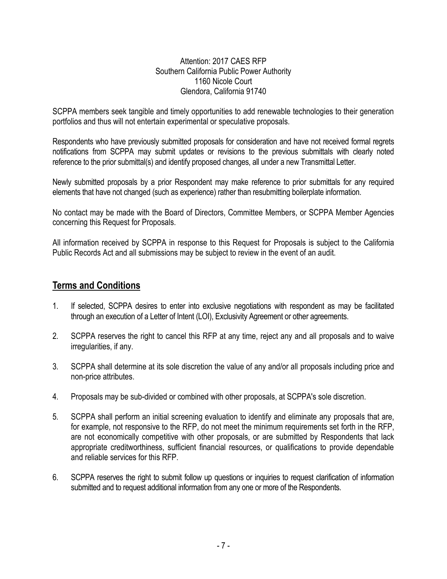Attention: 2017 CAES RFP Southern California Public Power Authority 1160 Nicole Court Glendora, California 91740

SCPPA members seek tangible and timely opportunities to add renewable technologies to their generation portfolios and thus will not entertain experimental or speculative proposals.

Respondents who have previously submitted proposals for consideration and have not received formal regrets notifications from SCPPA may submit updates or revisions to the previous submittals with clearly noted reference to the prior submittal(s) and identify proposed changes, all under a new Transmittal Letter.

Newly submitted proposals by a prior Respondent may make reference to prior submittals for any required elements that have not changed (such as experience) rather than resubmitting boilerplate information.

No contact may be made with the Board of Directors, Committee Members, or SCPPA Member Agencies concerning this Request for Proposals.

All information received by SCPPA in response to this Request for Proposals is subject to the California Public Records Act and all submissions may be subject to review in the event of an audit.

#### **Terms and Conditions**

- 1. If selected, SCPPA desires to enter into exclusive negotiations with respondent as may be facilitated through an execution of a Letter of Intent (LOI), Exclusivity Agreement or other agreements.
- 2. SCPPA reserves the right to cancel this RFP at any time, reject any and all proposals and to waive irregularities, if any.
- 3. SCPPA shall determine at its sole discretion the value of any and/or all proposals including price and non-price attributes.
- 4. Proposals may be sub-divided or combined with other proposals, at SCPPA's sole discretion.
- 5. SCPPA shall perform an initial screening evaluation to identify and eliminate any proposals that are, for example, not responsive to the RFP, do not meet the minimum requirements set forth in the RFP, are not economically competitive with other proposals, or are submitted by Respondents that lack appropriate creditworthiness, sufficient financial resources, or qualifications to provide dependable and reliable services for this RFP.
- 6. SCPPA reserves the right to submit follow up questions or inquiries to request clarification of information submitted and to request additional information from any one or more of the Respondents.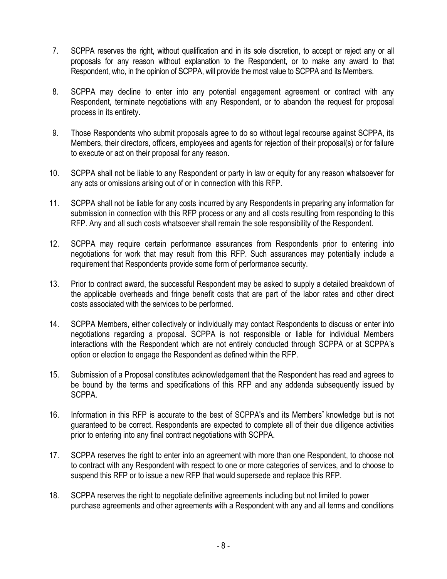- 7. SCPPA reserves the right, without qualification and in its sole discretion, to accept or reject any or all proposals for any reason without explanation to the Respondent, or to make any award to that Respondent, who, in the opinion of SCPPA, will provide the most value to SCPPA and its Members.
- 8. SCPPA may decline to enter into any potential engagement agreement or contract with any Respondent, terminate negotiations with any Respondent, or to abandon the request for proposal process in its entirety.
- 9. Those Respondents who submit proposals agree to do so without legal recourse against SCPPA, its Members, their directors, officers, employees and agents for rejection of their proposal(s) or for failure to execute or act on their proposal for any reason.
- 10. SCPPA shall not be liable to any Respondent or party in law or equity for any reason whatsoever for any acts or omissions arising out of or in connection with this RFP.
- 11. SCPPA shall not be liable for any costs incurred by any Respondents in preparing any information for submission in connection with this RFP process or any and all costs resulting from responding to this RFP. Any and all such costs whatsoever shall remain the sole responsibility of the Respondent.
- 12. SCPPA may require certain performance assurances from Respondents prior to entering into negotiations for work that may result from this RFP. Such assurances may potentially include a requirement that Respondents provide some form of performance security.
- 13. Prior to contract award, the successful Respondent may be asked to supply a detailed breakdown of the applicable overheads and fringe benefit costs that are part of the labor rates and other direct costs associated with the services to be performed.
- 14. SCPPA Members, either collectively or individually may contact Respondents to discuss or enter into negotiations regarding a proposal. SCPPA is not responsible or liable for individual Members interactions with the Respondent which are not entirely conducted through SCPPA or at SCPPA"s option or election to engage the Respondent as defined within the RFP.
- 15. Submission of a Proposal constitutes acknowledgement that the Respondent has read and agrees to be bound by the terms and specifications of this RFP and any addenda subsequently issued by SCPPA.
- 16. Information in this RFP is accurate to the best of SCPPA's and its Members" knowledge but is not guaranteed to be correct. Respondents are expected to complete all of their due diligence activities prior to entering into any final contract negotiations with SCPPA.
- 17. SCPPA reserves the right to enter into an agreement with more than one Respondent, to choose not to contract with any Respondent with respect to one or more categories of services, and to choose to suspend this RFP or to issue a new RFP that would supersede and replace this RFP.
- 18. SCPPA reserves the right to negotiate definitive agreements including but not limited to power purchase agreements and other agreements with a Respondent with any and all terms and conditions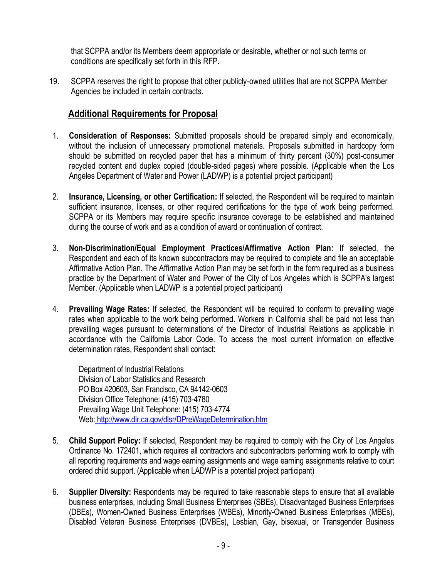that SCPPA and/or its Members deem appropriate or desirable, whether or not such terms or conditions are specifically set forth in this RFP.

19. SCPPA reserves the right to propose that other publicly-owned utilities that are not SCPPA Member Agencies be included in certain contracts.

## **Additional Requirements for Proposal**

- 1. **Consideration of Responses:** Submitted proposals should be prepared simply and economically, without the inclusion of unnecessary promotional materials. Proposals submitted in hardcopy form should be submitted on recycled paper that has a minimum of thirty percent (30%) post-consumer recycled content and duplex copied (double-sided pages) where possible. (Applicable when the Los Angeles Department of Water and Power (LADWP) is a potential project participant)
- 2. **Insurance, Licensing, or other Certification:** If selected, the Respondent will be required to maintain sufficient insurance, licenses, or other required certifications for the type of work being performed. SCPPA or its Members may require specific insurance coverage to be established and maintained during the course of work and as a condition of award or continuation of contract.
- 3. **Non-Discrimination/Equal Employment Practices/Affirmative Action Plan:** If selected, the Respondent and each of its known subcontractors may be required to complete and file an acceptable Affirmative Action Plan. The Affirmative Action Plan may be set forth in the form required as a business practice by the Department of Water and Power of the City of Los Angeles which is SCPPA's largest Member. (Applicable when LADWP is a potential project participant)
- 4. **Prevailing Wage Rates:** If selected, the Respondent will be required to conform to prevailing wage rates when applicable to the work being performed. Workers in California shall be paid not less than prevailing wages pursuant to determinations of the Director of Industrial Relations as applicable in accordance with the California Labor Code. To access the most current information on effective determination rates, Respondent shall contact:

Department of Industrial Relations Division of Labor Statistics and Research PO Box 420603, San Francisco, CA 94142-0603 Division Office Telephone: (415) 703-4780 Prevailing Wage Unit Telephone: (415) 703-4774 Web: <http://www.dir.ca.gov/dlsr/DPreWageDetermination.htm>

- 5. **Child Support Policy:** If selected, Respondent may be required to comply with the City of Los Angeles Ordinance No. 172401, which requires all contractors and subcontractors performing work to comply with all reporting requirements and wage earning assignments and wage earning assignments relative to court ordered child support. (Applicable when LADWP is a potential project participant)
- 6. **Supplier Diversity:** Respondents may be required to take reasonable steps to ensure that all available business enterprises, including Small Business Enterprises (SBEs), Disadvantaged Business Enterprises (DBEs), Women-Owned Business Enterprises (WBEs), Minority-Owned Business Enterprises (MBEs), Disabled Veteran Business Enterprises (DVBEs), Lesbian, Gay, bisexual, or Transgender Business